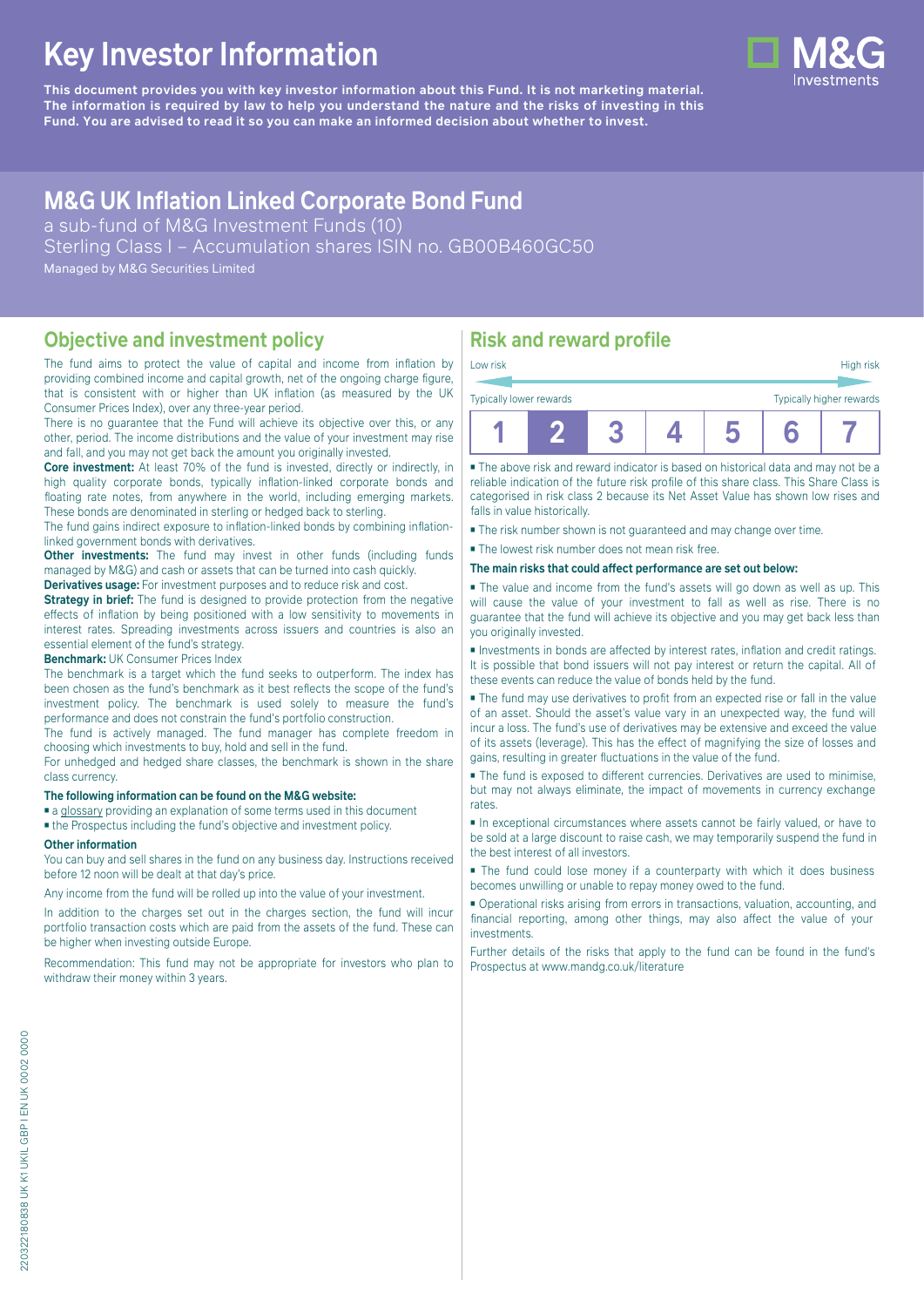# **Key Investor Information**

**This document provides you with key investor information about this Fund. It is not marketing material.** The information is required by law to help you understand the nature and the risks of investing in this **Fund. You are advised to read it so you can make an informed decision about whether to invest.**

## **M&G UK Inflation Linked Corporate Bond Fund**

a sub-fund of M&G Investment Funds (10) Sterling Class I – Accumulation shares ISIN no. GB00B460GC50 Managed by M&G Securities Limited

### **Objective and investment policy**

The fund aims to protect the value of capital and income from inflation by providing combined income and capital growth, net of the ongoing charge figure, that is consistent with or higher than UK inflation (as measured by the UK Consumer Prices Index), over any three-year period.

There is no guarantee that the Fund will achieve its objective over this, or any other, period. The income distributions and the value of your investment may rise and fall, and you may not get back the amount you originally invested.

**Core investment:** At least 70% of the fund is invested, directly or indirectly, in high quality corporate bonds, typically inflation-linked corporate bonds and floating rate notes, from anywhere in the world, including emerging markets. These bonds are denominated in sterling or hedged back to sterling.

The fund gains indirect exposure to inflation-linked bonds by combining inflationlinked government bonds with derivatives.

**Other investments:** The fund may invest in other funds (including funds managed by M&G) and cash or assets that can be turned into cash quickly.

**Derivatives usage:** For investment purposes and to reduce risk and cost.

**Strategy in brief:** The fund is designed to provide protection from the negative effects of inflation by being positioned with a low sensitivity to movements in interest rates. Spreading investments across issuers and countries is also an essential element of the fund's strategy.

**Benchmark:** UK Consumer Prices Index

The benchmark is a target which the fund seeks to outperform. The index has been chosen as the fund's benchmark as it best reflects the scope of the fund's investment policy. The benchmark is used solely to measure the fund's performance and does not constrain the fund's portfolio construction.

The fund is actively managed. The fund manager has complete freedom in choosing which investments to buy, hold and sell in the fund.

For unhedged and hedged share classes, the benchmark is shown in the share class currency.

### **The following information can be found on the M&G website:**

■ [a glossary](https://docs.mandg.com/docs/glossary-master-en.pdf) providing an explanation of some terms used in this document

■ the Prospectus including the fund's objective and investment policy.

#### **Other information**

You can buy and sell shares in the fund on any business day. Instructions received before 12 noon will be dealt at that day's price.

Any income from the fund will be rolled up into the value of your investment.

In addition to the charges set out in the charges section, the fund will incur portfolio transaction costs which are paid from the assets of the fund. These can be higher when investing outside Europe.

Recommendation: This fund may not be appropriate for investors who plan to withdraw their money within 3 years.

### **Risk and reward profile**

| Typically lower rewards |  |  | Typically higher rewards |  |
|-------------------------|--|--|--------------------------|--|
|                         |  |  |                          |  |

■ The above risk and reward indicator is based on historical data and may not be a reliable indication of the future risk profile of this share class. This Share Class is categorised in risk class 2 because its Net Asset Value has shown low rises and falls in value historically.

■ The risk number shown is not guaranteed and may change over time.

■ The lowest risk number does not mean risk free.

#### **The main risks that could affect performance are set out below:**

■ The value and income from the fund's assets will go down as well as up. This will cause the value of your investment to fall as well as rise. There is no guarantee that the fund will achieve its objective and you may get back less than you originally invested.

■ Investments in bonds are affected by interest rates, inflation and credit ratings. It is possible that bond issuers will not pay interest or return the capital. All of these events can reduce the value of bonds held by the fund.

■ The fund may use derivatives to profit from an expected rise or fall in the value of an asset. Should the asset's value vary in an unexpected way, the fund will incur a loss. The fund's use of derivatives may be extensive and exceed the value of its assets (leverage). This has the effect of magnifying the size of losses and gains, resulting in greater fluctuations in the value of the fund.

■ The fund is exposed to different currencies. Derivatives are used to minimise, but may not always eliminate, the impact of movements in currency exchange rates.

■ In exceptional circumstances where assets cannot be fairly valued, or have to be sold at a large discount to raise cash, we may temporarily suspend the fund in the best interest of all investors.

■ The fund could lose money if a counterparty with which it does business becomes unwilling or unable to repay money owed to the fund.

■ Operational risks arising from errors in transactions, valuation, accounting, and financial reporting, among other things, may also affect the value of your investments.

Further details of the risks that apply to the fund can be found in the fund's Prospectus at [www.mandg.co.uk/literature](http://www.mandg.co.uk/literature)